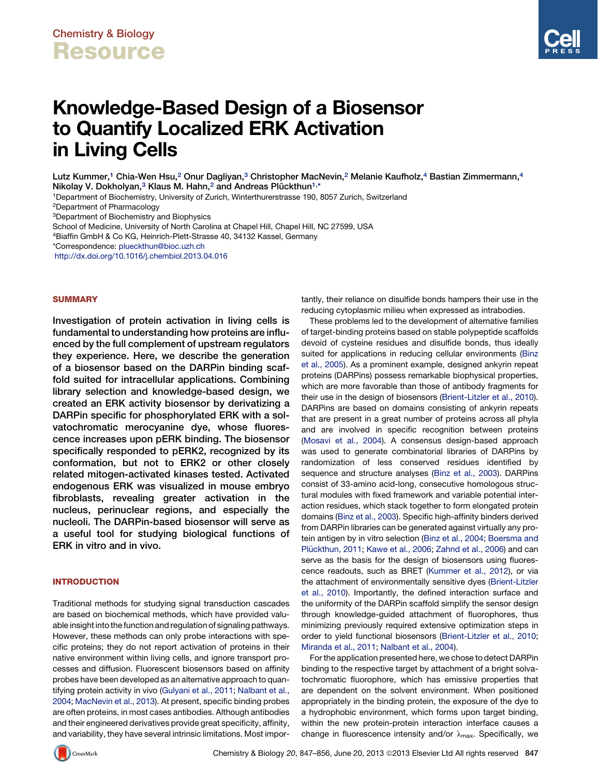# Knowledge-Based Design of a Biosensor to Quantify Localized ERK Activation in Living Cells

Lutz Kummer,<sup>1</sup> Chia-Wen Hsu,<sup>2</sup> Onur Dagliyan,<sup>3</sup> Christopher MacNevin,<sup>2</sup> Melanie Kaufholz,<sup>4</sup> Bastian Zimmermann,<sup>4</sup> Nikolay V. Dokholyan,<sup>3</sup> Klaus M. Hahn,<sup>2</sup> and Andreas Plückthun<sup>1,\*</sup>

1Department of Biochemistry, University of Zurich, Winterthurerstrasse 190, 8057 Zurich, Switzerland

2Department of Pharmacology

3Department of Biochemistry and Biophysics

School of Medicine, University of North Carolina at Chapel Hill, Chapel Hill, NC 27599, USA

4Biaffin GmbH & Co KG, Heinrich-Plett-Strasse 40, 34132 Kassel, Germany

\*Correspondence: [plueckthun@bioc.uzh.ch](mailto:plueckthun@bioc.uzh.ch)

<http://dx.doi.org/10.1016/j.chembiol.2013.04.016>

#### SUMMARY

Investigation of protein activation in living cells is fundamental to understanding how proteins are influenced by the full complement of upstream regulators they experience. Here, we describe the generation of a biosensor based on the DARPin binding scaffold suited for intracellular applications. Combining library selection and knowledge-based design, we created an ERK activity biosensor by derivatizing a DARPin specific for phosphorylated ERK with a solvatochromatic merocyanine dye, whose fluorescence increases upon pERK binding. The biosensor specifically responded to pERK2, recognized by its conformation, but not to ERK2 or other closely related mitogen-activated kinases tested. Activated endogenous ERK was visualized in mouse embryo fibroblasts, revealing greater activation in the nucleus, perinuclear regions, and especially the nucleoli. The DARPin-based biosensor will serve as a useful tool for studying biological functions of ERK in vitro and in vivo.

#### INTRODUCTION

Traditional methods for studying signal transduction cascades are based on biochemical methods, which have provided valuable insight into the function and regulation of signaling pathways. However, these methods can only probe interactions with specific proteins; they do not report activation of proteins in their native environment within living cells, and ignore transport processes and diffusion. Fluorescent biosensors based on affinity probes have been developed as an alternative approach to quantifying protein activity in vivo [\(Gulyani et al., 2011](#page-8-0); [Nalbant et al.,](#page-9-0) [2004;](#page-9-0) [MacNevin et al., 2013](#page-9-0)). At present, specific binding probes are often proteins, in most cases antibodies. Although antibodies and their engineered derivatives provide great specificity, affinity, and variability, they have several intrinsic limitations. Most importantly, their reliance on disulfide bonds hampers their use in the reducing cytoplasmic milieu when expressed as intrabodies.

These problems led to the development of alternative families of target-binding proteins based on stable polypeptide scaffolds devoid of cysteine residues and disulfide bonds, thus ideally suited for applications in reducing cellular environments ([Binz](#page-8-0) [et al., 2005\)](#page-8-0). As a prominent example, designed ankyrin repeat proteins (DARPins) possess remarkable biophysical properties, which are more favorable than those of antibody fragments for their use in the design of biosensors ([Brient-Litzler et al., 2010\)](#page-8-0). DARPins are based on domains consisting of ankyrin repeats that are present in a great number of proteins across all phyla and are involved in specific recognition between proteins [\(Mosavi et al., 2004](#page-9-0)). A consensus design-based approach was used to generate combinatorial libraries of DARPins by randomization of less conserved residues identified by sequence and structure analyses ([Binz et al., 2003\)](#page-8-0). DARPins consist of 33-amino acid-long, consecutive homologous structural modules with fixed framework and variable potential interaction residues, which stack together to form elongated protein domains ([Binz et al., 2003\)](#page-8-0). Specific high-affinity binders derived from DARPin libraries can be generated against virtually any protein antigen by in vitro selection ([Binz et al., 2004;](#page-8-0) [Boersma and](#page-8-0) Plü[ckthun, 2011](#page-8-0); [Kawe et al., 2006](#page-8-0); [Zahnd et al., 2006](#page-9-0)) and can serve as the basis for the design of biosensors using fluorescence readouts, such as BRET [\(Kummer et al., 2012\)](#page-9-0), or via the attachment of environmentally sensitive dyes [\(Brient-Litzler](#page-8-0) [et al., 2010\)](#page-8-0). Importantly, the defined interaction surface and the uniformity of the DARPin scaffold simplify the sensor design through knowledge-guided attachment of fluorophores, thus minimizing previously required extensive optimization steps in order to yield functional biosensors ([Brient-Litzler et al., 2010;](#page-8-0) [Miranda et al., 2011](#page-9-0); [Nalbant et al., 2004\)](#page-9-0).

For the application presented here, we chose to detect DARPin binding to the respective target by attachment of a bright solvatochromatic fluorophore, which has emissive properties that are dependent on the solvent environment. When positioned appropriately in the binding protein, the exposure of the dye to a hydrophobic environment, which forms upon target binding, within the new protein-protein interaction interface causes a change in fluorescence intensity and/or  $\lambda_{\text{max}}$ . Specifically, we

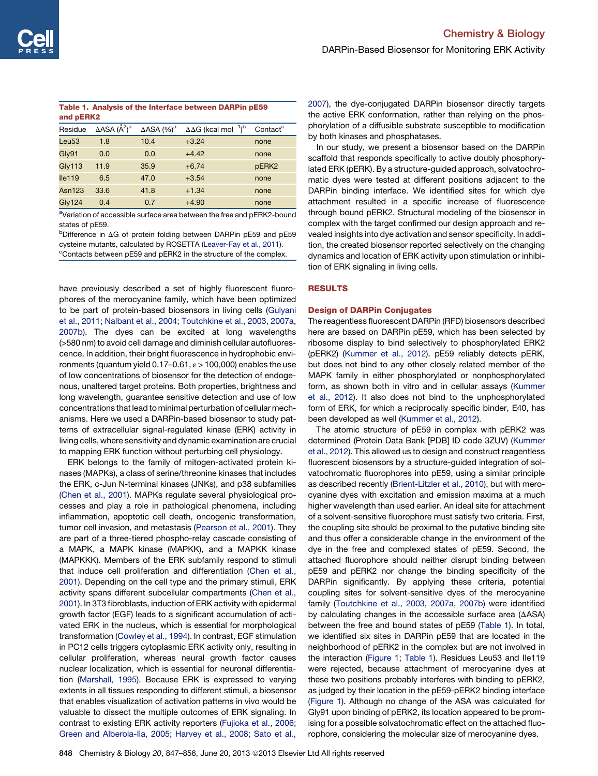#### <span id="page-1-0"></span>Table 1. Analysis of the Interface between DARPin pE59 and pERK2

| Residue            | ∆ASA (Å <sup>2</sup> )ª | $\triangle$ ASA $(\%)^a$ | $\Delta\Delta G$ (kcal mol <sup>-1)b</sup> | Contact <sup>c</sup> |
|--------------------|-------------------------|--------------------------|--------------------------------------------|----------------------|
| Leu <sub>53</sub>  | 1.8                     | 10.4                     | $+3.24$                                    | none                 |
| Gly91              | 0.0                     | 0.0                      | $+4.42$                                    | none                 |
| <b>Gly113</b>      | 11.9                    | 35.9                     | $+6.74$                                    | pERK <sub>2</sub>    |
| lle <sub>119</sub> | 6.5                     | 47.0                     | $+3.54$                                    | none                 |
| Asn $123$          | 33.6                    | 41.8                     | $+1.34$                                    | none                 |
| <b>Gly124</b>      | 0.4                     | 0.7                      | $+4.90$                                    | none                 |
|                    |                         |                          |                                            |                      |

<sup>a</sup>Variation of accessible surface area between the free and pERK2-bound states of pE59.

**bDifference in AG of protein folding between DARPin pE59 and pE59** cysteine mutants, calculated by ROSETTA [\(Leaver-Fay et al., 2011\)](#page-9-0). <sup>c</sup>Contacts between pE59 and pERK2 in the structure of the complex.

have previously described a set of highly fluorescent fluorophores of the merocyanine family, which have been optimized to be part of protein-based biosensors in living cells ([Gulyani](#page-8-0) [et al., 2011](#page-8-0); [Nalbant et al., 2004;](#page-9-0) [Toutchkine et al., 2003,](#page-9-0) [2007a,](#page-9-0) [2007b\)](#page-9-0). The dyes can be excited at long wavelengths (>580 nm) to avoid cell damage and diminish cellular autofluorescence. In addition, their bright fluorescence in hydrophobic environments (quantum yield  $0.17-0.61$ ,  $\varepsilon > 100,000$ ) enables the use of low concentrations of biosensor for the detection of endogenous, unaltered target proteins. Both properties, brightness and long wavelength, guarantee sensitive detection and use of low concentrations that lead to minimal perturbation of cellular mechanisms. Here we used a DARPin-based biosensor to study patterns of extracellular signal-regulated kinase (ERK) activity in living cells, where sensitivity and dynamic examination are crucial to mapping ERK function without perturbing cell physiology.

ERK belongs to the family of mitogen-activated protein kinases (MAPKs), a class of serine/threonine kinases that includes the ERK, c-Jun N-terminal kinases (JNKs), and p38 subfamilies ([Chen et al., 2001](#page-8-0)). MAPKs regulate several physiological processes and play a role in pathological phenomena, including inflammation, apoptotic cell death, oncogenic transformation, tumor cell invasion, and metastasis ([Pearson et al., 2001](#page-9-0)). They are part of a three-tiered phospho-relay cascade consisting of a MAPK, a MAPK kinase (MAPKK), and a MAPKK kinase (MAPKKK). Members of the ERK subfamily respond to stimuli that induce cell proliferation and differentiation ([Chen et al.,](#page-8-0) [2001](#page-8-0)). Depending on the cell type and the primary stimuli, ERK activity spans different subcellular compartments [\(Chen et al.,](#page-8-0) [2001](#page-8-0)). In 3T3 fibroblasts, induction of ERK activity with epidermal growth factor (EGF) leads to a significant accumulation of activated ERK in the nucleus, which is essential for morphological transformation ([Cowley et al., 1994](#page-8-0)). In contrast, EGF stimulation in PC12 cells triggers cytoplasmic ERK activity only, resulting in cellular proliferation, whereas neural growth factor causes nuclear localization, which is essential for neuronal differentiation [\(Marshall, 1995\)](#page-9-0). Because ERK is expressed to varying extents in all tissues responding to different stimuli, a biosensor that enables visualization of activation patterns in vivo would be valuable to dissect the multiple outcomes of ERK signaling. In contrast to existing ERK activity reporters ([Fujioka et al., 2006;](#page-8-0) [Green and Alberola-Ila, 2005](#page-8-0); [Harvey et al., 2008;](#page-8-0) [Sato et al.,](#page-9-0)

[2007\)](#page-9-0), the dye-conjugated DARPin biosensor directly targets the active ERK conformation, rather than relying on the phosphorylation of a diffusible substrate susceptible to modification by both kinases and phosphatases.

In our study, we present a biosensor based on the DARPin scaffold that responds specifically to active doubly phosphorylated ERK (pERK). By a structure-guided approach, solvatochromatic dyes were tested at different positions adjacent to the DARPin binding interface. We identified sites for which dye attachment resulted in a specific increase of fluorescence through bound pERK2. Structural modeling of the biosensor in complex with the target confirmed our design approach and revealed insights into dye activation and sensor specificity. In addition, the created biosensor reported selectively on the changing dynamics and location of ERK activity upon stimulation or inhibition of ERK signaling in living cells.

#### RESULTS

#### Design of DARPin Conjugates

The reagentless fluorescent DARPin (RFD) biosensors described here are based on DARPin pE59, which has been selected by ribosome display to bind selectively to phosphorylated ERK2 (pERK2) ([Kummer et al., 2012\)](#page-9-0). pE59 reliably detects pERK, but does not bind to any other closely related member of the MAPK family in either phosphorylated or nonphosphorylated form, as shown both in vitro and in cellular assays ([Kummer](#page-9-0) [et al., 2012](#page-9-0)). It also does not bind to the unphosphorylated form of ERK, for which a reciprocally specific binder, E40, has been developed as well ([Kummer et al., 2012](#page-9-0)).

The atomic structure of pE59 in complex with pERK2 was determined (Protein Data Bank [PDB] ID code 3ZUV) ([Kummer](#page-9-0) [et al., 2012](#page-9-0)). This allowed us to design and construct reagentless fluorescent biosensors by a structure-guided integration of solvatochromatic fluorophores into pE59, using a similar principle as described recently [\(Brient-Litzler et al., 2010](#page-8-0)), but with merocyanine dyes with excitation and emission maxima at a much higher wavelength than used earlier. An ideal site for attachment of a solvent-sensitive fluorophore must satisfy two criteria. First, the coupling site should be proximal to the putative binding site and thus offer a considerable change in the environment of the dye in the free and complexed states of pE59. Second, the attached fluorophore should neither disrupt binding between pE59 and pERK2 nor change the binding specificity of the DARPin significantly. By applying these criteria, potential coupling sites for solvent-sensitive dyes of the merocyanine family ([Toutchkine et al., 2003,](#page-9-0) [2007a,](#page-9-0) [2007b](#page-9-0)) were identified by calculating changes in the accessible surface area  $( \Delta ASA)$ between the free and bound states of pE59 (Table 1). In total, we identified six sites in DARPin pE59 that are located in the neighborhood of pERK2 in the complex but are not involved in the interaction [\(Figure 1;](#page-2-0) Table 1). Residues Leu53 and Ile119 were rejected, because attachment of merocyanine dyes at these two positions probably interferes with binding to pERK2, as judged by their location in the pE59-pERK2 binding interface [\(Figure 1\)](#page-2-0). Although no change of the ASA was calculated for Gly91 upon binding of pERK2, its location appeared to be promising for a possible solvatochromatic effect on the attached fluorophore, considering the molecular size of merocyanine dyes.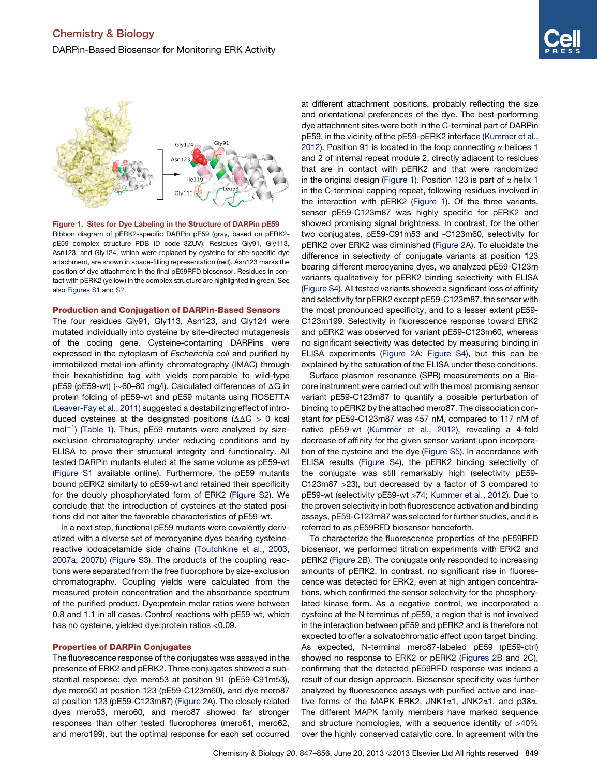<span id="page-2-0"></span>

Figure 1. Sites for Dye Labeling in the Structure of DARPin pE59 Ribbon diagram of pERK2-specific DARPin pE59 (gray, based on pERK2 pE59 complex structure PDB ID code 3ZUV). Residues Gly91, Gly113, Asn123, and Gly124, which were replaced by cysteine for site-specific dye attachment, are shown in space-filling representation (red). Asn123 marks the position of dye attachment in the final pE59RFD biosensor. Residues in contact with pERK2 (yellow) in the complex structure are highlighted in green. See also [Figures S1](#page-8-0) and [S2](#page-8-0).

#### Production and Conjugation of DARPin-Based Sensors

The four residues Gly91, Gly113, Asn123, and Gly124 were mutated individually into cysteine by site-directed mutagenesis of the coding gene. Cysteine-containing DARPins were expressed in the cytoplasm of *Escherichia coli* and purified by immobilized metal-ion-affinity chromatography (IMAC) through their hexahistidine tag with yields comparable to wild-type pE59 (pE59-wt) ( $\sim$ 60–80 mg/l). Calculated differences of  $\Delta G$  in protein folding of pE59-wt and pE59 mutants using ROSETTA [\(Leaver-Fay et al., 2011\)](#page-9-0) suggested a destabilizing effect of introduced cysteines at the designated positions ( $\Delta\Delta G > 0$  kcal mol $^{-1}$ ) [\(Table 1](#page-1-0)). Thus, pE59 mutants were analyzed by sizeexclusion chromatography under reducing conditions and by ELISA to prove their structural integrity and functionality. All tested DARPin mutants eluted at the same volume as pE59-wt [\(Figure S1](#page-8-0) available online). Furthermore, the pE59 mutants bound pERK2 similarly to pE59-wt and retained their specificity for the doubly phosphorylated form of ERK2 [\(Figure S2\)](#page-8-0). We conclude that the introduction of cysteines at the stated positions did not alter the favorable characteristics of pE59-wt.

In a next step, functional pE59 mutants were covalently derivatized with a diverse set of merocyanine dyes bearing cysteinereactive iodoacetamide side chains [\(Toutchkine et al., 2003,](#page-9-0) [2007a](#page-9-0), [2007b\)](#page-9-0) [\(Figure S3\)](#page-8-0). The products of the coupling reactions were separated from the free fluorophore by size-exclusion chromatography. Coupling yields were calculated from the measured protein concentration and the absorbance spectrum of the purified product. Dye:protein molar ratios were between 0.8 and 1.1 in all cases. Control reactions with pE59-wt, which has no cysteine, yielded dye:protein ratios <0.09.

#### Properties of DARPin Conjugates

The fluorescence response of the conjugates was assayed in the presence of ERK2 and pERK2. Three conjugates showed a substantial response: dye mero53 at position 91 (pE59-C91m53), dye mero60 at position 123 (pE59-C123m60), and dye mero87 at position 123 (pE59-C123m87) ([Figure 2](#page-3-0)A). The closely related dyes mero53, mero60, and mero87 showed far stronger responses than other tested fluorophores (mero61, mero62, and mero199), but the optimal response for each set occurred at different attachment positions, probably reflecting the size and orientational preferences of the dye. The best-performing dye attachment sites were both in the C-terminal part of DARPin pE59, in the vicinity of the pE59-pERK2 interface ([Kummer et al.,](#page-9-0) [2012\)](#page-9-0). Position 91 is located in the loop connecting  $\alpha$  helices 1 and 2 of internal repeat module 2, directly adjacent to residues that are in contact with pERK2 and that were randomized in the original design (Figure 1). Position 123 is part of  $\alpha$  helix 1 in the C-terminal capping repeat, following residues involved in the interaction with pERK2 (Figure 1). Of the three variants, sensor pE59-C123m87 was highly specific for pERK2 and showed promising signal brightness. In contrast, for the other two conjugates, pE59-C91m53 and -C123m60, selectivity for pERK2 over ERK2 was diminished [\(Figure 2A](#page-3-0)). To elucidate the difference in selectivity of conjugate variants at position 123 bearing different merocyanine dyes, we analyzed pE59-C123m variants qualitatively for pERK2 binding selectivity with ELISA [\(Figure S4\)](#page-8-0). All tested variants showed a significant loss of affinity and selectivity for pERK2 except pE59-C123m87, the sensor with the most pronounced specificity, and to a lesser extent pE59- C123m199. Selectivity in fluorescence response toward ERK2 and pERK2 was observed for variant pE59-C123m60, whereas no significant selectivity was detected by measuring binding in ELISA experiments ([Figure 2A](#page-3-0); [Figure S4](#page-8-0)), but this can be explained by the saturation of the ELISA under these conditions.

Surface plasmon resonance (SPR) measurements on a Biacore instrument were carried out with the most promising sensor variant pE59-C123m87 to quantify a possible perturbation of binding to pERK2 by the attached mero87. The dissociation constant for pE59-C123m87 was 457 nM, compared to 117 nM of native pE59-wt ([Kummer et al., 2012](#page-9-0)), revealing a 4-fold decrease of affinity for the given sensor variant upon incorporation of the cysteine and the dye ([Figure S5](#page-8-0)). In accordance with ELISA results [\(Figure S4](#page-8-0)), the pERK2 binding selectivity of the conjugate was still remarkably high (selectivity pE59- C123m87 >23), but decreased by a factor of 3 compared to pE59-wt (selectivity pE59-wt >74; [Kummer et al., 2012\)](#page-9-0). Due to the proven selectivity in both fluorescence activation and binding assays, pE59-C123m87 was selected for further studies, and it is referred to as pE59RFD biosensor henceforth.

To characterize the fluorescence properties of the pE59RFD biosensor, we performed titration experiments with ERK2 and pERK2 ([Figure 2](#page-3-0)B). The conjugate only responded to increasing amounts of pERK2. In contrast, no significant rise in fluorescence was detected for ERK2, even at high antigen concentrations, which confirmed the sensor selectivity for the phosphorylated kinase form. As a negative control, we incorporated a cysteine at the N terminus of pE59, a region that is not involved in the interaction between pE59 and pERK2 and is therefore not expected to offer a solvatochromatic effect upon target binding. As expected, N-terminal mero87-labeled pE59 (pE59-ctrl) showed no response to ERK2 or pERK2 ([Figures 2](#page-3-0)B and 2C), confirming that the detected pE59RFD response was indeed a result of our design approach. Biosensor specificity was further analyzed by fluorescence assays with purified active and inactive forms of the MAPK ERK2, JNK1a1, JNK2a1, and p38a. The different MAPK family members have marked sequence and structure homologies, with a sequence identity of >40% over the highly conserved catalytic core. In agreement with the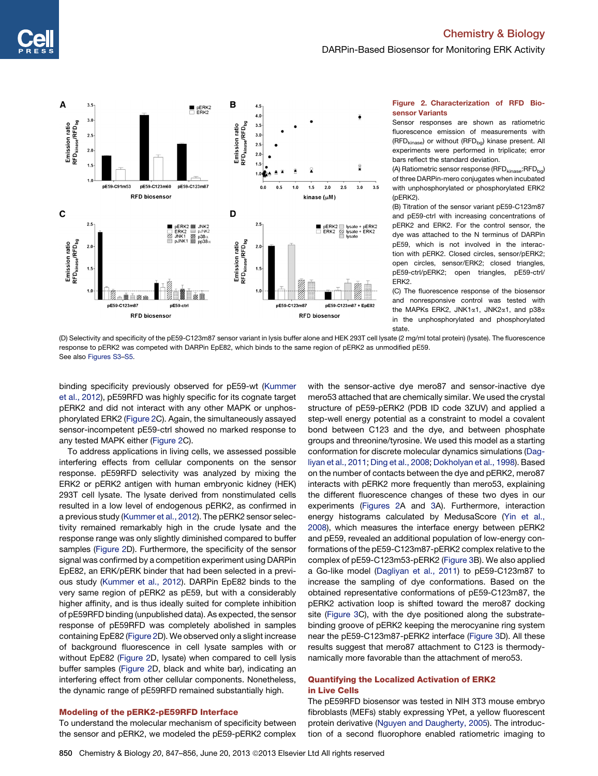## Chemistry & Biology



<span id="page-3-0"></span>

#### Figure 2. Characterization of RFD Biosensor Variants

Sensor responses are shown as ratiometric fluorescence emission of measurements with (RFD<sub>kinase</sub>) or without (RFD<sub>bg</sub>) kinase present. All experiments were performed in triplicate; error bars reflect the standard deviation.

(A) Ratiometric sensor response (RFD $_{\text{kinase}}$ :RFD $_{\text{bg}}$ ) of three DARPin-mero conjugates when incubated with unphosphorylated or phosphorylated ERK2 (pERK2).

(B) Titration of the sensor variant pE59-C123m87 and pE59-ctrl with increasing concentrations of pERK2 and ERK2. For the control sensor, the dye was attached to the N terminus of DARPin pE59, which is not involved in the interaction with pERK2. Closed circles, sensor/pERK2; open circles, sensor/ERK2; closed triangles, pE59-ctrl/pERK2; open triangles, pE59-ctrl/ ERK2.

(C) The fluorescence response of the biosensor and nonresponsive control was tested with the MAPKs ERK2, JNK1a1, JNK2a1, and p38a in the unphosphorylated and phosphorylated state.

(D) Selectivity and specificity of the pE59-C123m87 sensor variant in lysis buffer alone and HEK 293T cell lysate (2 mg/ml total protein) (lysate). The fluorescence response to pERK2 was competed with DARPin EpE82, which binds to the same region of pERK2 as unmodified pE59. See also [Figures S3](#page-8-0)–[S5](#page-8-0).

binding specificity previously observed for pE59-wt ([Kummer](#page-9-0) [et al., 2012](#page-9-0)), pE59RFD was highly specific for its cognate target pERK2 and did not interact with any other MAPK or unphosphorylated ERK2 (Figure 2C). Again, the simultaneously assayed sensor-incompetent pE59-ctrl showed no marked response to any tested MAPK either (Figure 2C).

To address applications in living cells, we assessed possible interfering effects from cellular components on the sensor response. pE59RFD selectivity was analyzed by mixing the ERK2 or pERK2 antigen with human embryonic kidney (HEK) 293T cell lysate. The lysate derived from nonstimulated cells resulted in a low level of endogenous pERK2, as confirmed in a previous study ([Kummer et al., 2012\)](#page-9-0). The pERK2 sensor selectivity remained remarkably high in the crude lysate and the response range was only slightly diminished compared to buffer samples (Figure 2D). Furthermore, the specificity of the sensor signal was confirmed by a competition experiment using DARPin EpE82, an ERK/pERK binder that had been selected in a previous study [\(Kummer et al., 2012\)](#page-9-0). DARPin EpE82 binds to the very same region of pERK2 as pE59, but with a considerably higher affinity, and is thus ideally suited for complete inhibition of pE59RFD binding (unpublished data). As expected, the sensor response of pE59RFD was completely abolished in samples containing EpE82 (Figure 2D). We observed only a slight increase of background fluorescence in cell lysate samples with or without EpE82 (Figure 2D, lysate) when compared to cell lysis buffer samples (Figure 2D, black and white bar), indicating an interfering effect from other cellular components. Nonetheless, the dynamic range of pE59RFD remained substantially high.

### Modeling of the pERK2-pE59RFD Interface

To understand the molecular mechanism of specificity between the sensor and pERK2, we modeled the pE59-pERK2 complex with the sensor-active dye mero87 and sensor-inactive dye mero53 attached that are chemically similar. We used the crystal structure of pE59-pERK2 (PDB ID code 3ZUV) and applied a step-well energy potential as a constraint to model a covalent bond between C123 and the dye, and between phosphate groups and threonine/tyrosine. We used this model as a starting conformation for discrete molecular dynamics simulations [\(Dag](#page-8-0)[liyan et al., 2011](#page-8-0); [Ding et al., 2008](#page-8-0); [Dokholyan et al., 1998](#page-8-0)). Based on the number of contacts between the dye and pERK2, mero87 interacts with pERK2 more frequently than mero53, explaining the different fluorescence changes of these two dyes in our experiments (Figures 2A and [3A](#page-4-0)). Furthermore, interaction energy histograms calculated by MedusaScore ([Yin et al.,](#page-9-0) [2008\)](#page-9-0), which measures the interface energy between pERK2 and pE59, revealed an additional population of low-energy conformations of the pE59-C123m87-pERK2 complex relative to the complex of pE59-C123m53-pERK2 ([Figure 3B](#page-4-0)). We also applied a Go-like model [\(Dagliyan et al., 2011\)](#page-8-0) to pE59-C123m87 to increase the sampling of dye conformations. Based on the obtained representative conformations of pE59-C123m87, the pERK2 activation loop is shifted toward the mero87 docking site ([Figure 3C](#page-4-0)), with the dye positioned along the substratebinding groove of pERK2 keeping the merocyanine ring system near the pE59-C123m87-pERK2 interface ([Figure 3](#page-4-0)D). All these results suggest that mero87 attachment to C123 is thermodynamically more favorable than the attachment of mero53.

#### Quantifying the Localized Activation of ERK2 in Live Cells

The pE59RFD biosensor was tested in NIH 3T3 mouse embryo fibroblasts (MEFs) stably expressing YPet, a yellow fluorescent protein derivative ([Nguyen and Daugherty, 2005\)](#page-9-0). The introduction of a second fluorophore enabled ratiometric imaging to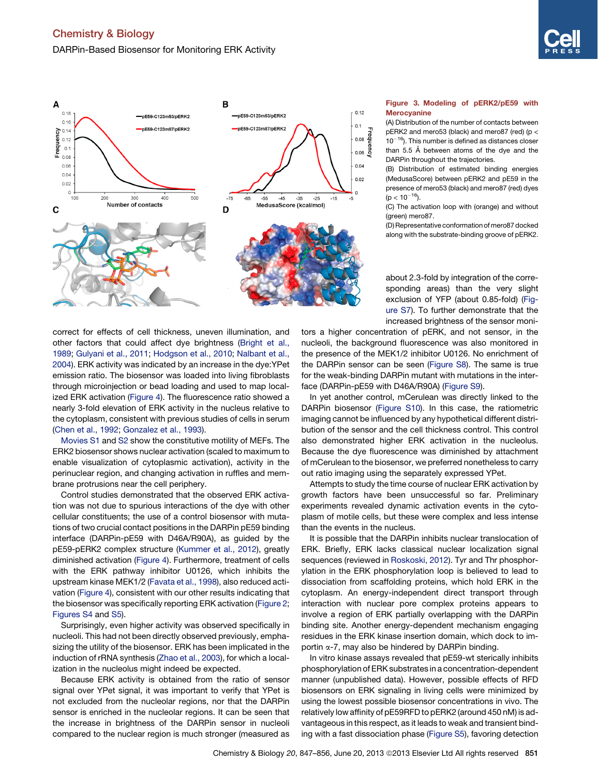

<span id="page-4-0"></span>

correct for effects of cell thickness, uneven illumination, and other factors that could affect dye brightness [\(Bright et al.,](#page-8-0) [1989;](#page-8-0) [Gulyani et al., 2011;](#page-8-0) [Hodgson et al., 2010](#page-8-0); [Nalbant et al.,](#page-9-0) [2004\)](#page-9-0). ERK activity was indicated by an increase in the dye:YPet emission ratio. The biosensor was loaded into living fibroblasts through microinjection or bead loading and used to map localized ERK activation [\(Figure 4\)](#page-5-0). The fluorescence ratio showed a nearly 3-fold elevation of ERK activity in the nucleus relative to the cytoplasm, consistent with previous studies of cells in serum [\(Chen et al., 1992;](#page-8-0) [Gonzalez et al., 1993\)](#page-8-0).

Movies S1 and S2 show the constitutive motility of MEFs. The ERK2 biosensor shows nuclear activation (scaled to maximum to enable visualization of cytoplasmic activation), activity in the perinuclear region, and changing activation in ruffles and membrane protrusions near the cell periphery.

Control studies demonstrated that the observed ERK activation was not due to spurious interactions of the dye with other cellular constituents; the use of a control biosensor with mutations of two crucial contact positions in the DARPin pE59 binding interface (DARPin-pE59 with D46A/R90A), as guided by the pE59-pERK2 complex structure [\(Kummer et al., 2012\)](#page-9-0), greatly diminished activation ([Figure 4](#page-5-0)). Furthermore, treatment of cells with the ERK pathway inhibitor U0126, which inhibits the upstream kinase MEK1/2 ([Favata et al., 1998\)](#page-8-0), also reduced activation [\(Figure 4\)](#page-5-0), consistent with our other results indicating that the biosensor was specifically reporting ERK activation ([Figure 2;](#page-3-0) [Figures S4](#page-8-0) and [S5\)](#page-8-0).

Surprisingly, even higher activity was observed specifically in nucleoli. This had not been directly observed previously, emphasizing the utility of the biosensor. ERK has been implicated in the induction of rRNA synthesis [\(Zhao et al., 2003](#page-9-0)), for which a localization in the nucleolus might indeed be expected.

Because ERK activity is obtained from the ratio of sensor signal over YPet signal, it was important to verify that YPet is not excluded from the nucleolar regions, nor that the DARPin sensor is enriched in the nucleolar regions. It can be seen that the increase in brightness of the DARPin sensor in nucleoli compared to the nuclear region is much stronger (measured as

#### Figure 3. Modeling of pERK2/pE59 with **Merocyanine**

(A) Distribution of the number of contacts between pERK2 and mero53 (black) and mero87 (red) (p <  $10^{-16}$ ). This number is defined as distances closer than 5.5 Å between atoms of the dye and the DARPin throughout the trajectories.

(B) Distribution of estimated binding energies (MedusaScore) between pERK2 and pE59 in the presence of mero53 (black) and mero87 (red) dyes  $(p < 10^{-16})$ .

(C) The activation loop with (orange) and without (green) mero87.

(D) Representative conformation of mero87 docked along with the substrate-binding groove of pERK2.

about 2.3-fold by integration of the corresponding areas) than the very slight exclusion of YFP (about 0.85-fold) [\(Fig](#page-8-0)[ure S7\)](#page-8-0). To further demonstrate that the increased brightness of the sensor moni-

tors a higher concentration of pERK, and not sensor, in the nucleoli, the background fluorescence was also monitored in the presence of the MEK1/2 inhibitor U0126. No enrichment of the DARPin sensor can be seen [\(Figure S8](#page-8-0)). The same is true for the weak-binding DARPin mutant with mutations in the interface (DARPin-pE59 with D46A/R90A) ([Figure S9\)](#page-8-0).

In yet another control, mCerulean was directly linked to the DARPin biosensor [\(Figure S10](#page-8-0)). In this case, the ratiometric imaging cannot be influenced by any hypothetical different distribution of the sensor and the cell thickness control. This control also demonstrated higher ERK activation in the nucleolus. Because the dye fluorescence was diminished by attachment of mCerulean to the biosensor, we preferred nonetheless to carry out ratio imaging using the separately expressed YPet.

Attempts to study the time course of nuclear ERK activation by growth factors have been unsuccessful so far. Preliminary experiments revealed dynamic activation events in the cytoplasm of motile cells, but these were complex and less intense than the events in the nucleus.

It is possible that the DARPin inhibits nuclear translocation of ERK. Briefly, ERK lacks classical nuclear localization signal sequences (reviewed in [Roskoski, 2012](#page-9-0)). Tyr and Thr phosphorylation in the ERK phosphorylation loop is believed to lead to dissociation from scaffolding proteins, which hold ERK in the cytoplasm. An energy-independent direct transport through interaction with nuclear pore complex proteins appears to involve a region of ERK partially overlapping with the DARPin binding site. Another energy-dependent mechanism engaging residues in the ERK kinase insertion domain, which dock to importin  $\alpha$ -7, may also be hindered by DARPin binding.

In vitro kinase assays revealed that pE59-wt sterically inhibits phosphorylation of ERK substrates in a concentration-dependent manner (unpublished data). However, possible effects of RFD biosensors on ERK signaling in living cells were minimized by using the lowest possible biosensor concentrations in vivo. The relatively low affinity of pE59RFD to pERK2 (around 450 nM) is advantageous in this respect, as it leads to weak and transient binding with a fast dissociation phase ([Figure S5\)](#page-8-0), favoring detection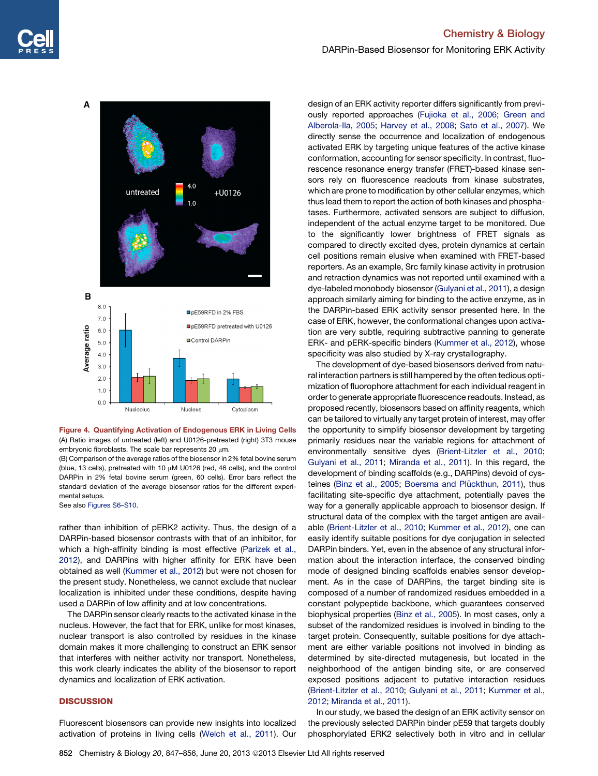<span id="page-5-0"></span>

Figure 4. Quantifying Activation of Endogenous ERK in Living Cells (A) Ratio images of untreated (left) and U0126-pretreated (right) 3T3 mouse embryonic fibroblasts. The scale bar represents 20  $\mu$ m.

(B) Comparison of the average ratios of the biosensor in 2% fetal bovine serum (blue, 13 cells), pretreated with 10 µM U0126 (red, 46 cells), and the control DARPin in 2% fetal bovine serum (green, 60 cells). Error bars reflect the standard deviation of the average biosensor ratios for the different experimental setups.

See also [Figures S6–S10.](#page-8-0)

rather than inhibition of pERK2 activity. Thus, the design of a DARPin-based biosensor contrasts with that of an inhibitor, for which a high-affinity binding is most effective ([Parizek et al.,](#page-9-0) [2012](#page-9-0)), and DARPins with higher affinity for ERK have been obtained as well [\(Kummer et al., 2012](#page-9-0)) but were not chosen for the present study. Nonetheless, we cannot exclude that nuclear localization is inhibited under these conditions, despite having used a DARPin of low affinity and at low concentrations.

The DARPin sensor clearly reacts to the activated kinase in the nucleus. However, the fact that for ERK, unlike for most kinases, nuclear transport is also controlled by residues in the kinase domain makes it more challenging to construct an ERK sensor that interferes with neither activity nor transport. Nonetheless, this work clearly indicates the ability of the biosensor to report dynamics and localization of ERK activation.

#### **DISCUSSION**

Fluorescent biosensors can provide new insights into localized activation of proteins in living cells ([Welch et al., 2011](#page-9-0)). Our

design of an ERK activity reporter differs significantly from previously reported approaches ([Fujioka et al., 2006](#page-8-0); [Green and](#page-8-0) [Alberola-Ila, 2005](#page-8-0); [Harvey et al., 2008](#page-8-0); [Sato et al., 2007](#page-9-0)). We directly sense the occurrence and localization of endogenous activated ERK by targeting unique features of the active kinase conformation, accounting for sensor specificity. In contrast, fluorescence resonance energy transfer (FRET)-based kinase sensors rely on fluorescence readouts from kinase substrates, which are prone to modification by other cellular enzymes, which thus lead them to report the action of both kinases and phosphatases. Furthermore, activated sensors are subject to diffusion, independent of the actual enzyme target to be monitored. Due to the significantly lower brightness of FRET signals as compared to directly excited dyes, protein dynamics at certain cell positions remain elusive when examined with FRET-based reporters. As an example, Src family kinase activity in protrusion and retraction dynamics was not reported until examined with a dye-labeled monobody biosensor ([Gulyani et al., 2011\)](#page-8-0), a design approach similarly aiming for binding to the active enzyme, as in the DARPin-based ERK activity sensor presented here. In the case of ERK, however, the conformational changes upon activation are very subtle, requiring subtractive panning to generate ERK- and pERK-specific binders ([Kummer et al., 2012\)](#page-9-0), whose specificity was also studied by X-ray crystallography.

The development of dye-based biosensors derived from natural interaction partners is still hampered by the often tedious optimization of fluorophore attachment for each individual reagent in order to generate appropriate fluorescence readouts. Instead, as proposed recently, biosensors based on affinity reagents, which can be tailored to virtually any target protein of interest, may offer the opportunity to simplify biosensor development by targeting primarily residues near the variable regions for attachment of environmentally sensitive dyes ([Brient-Litzler et al., 2010;](#page-8-0) [Gulyani et al., 2011;](#page-8-0) [Miranda et al., 2011\)](#page-9-0). In this regard, the development of binding scaffolds (e.g., DARPins) devoid of cys-teines [\(Binz et al., 2005;](#page-8-0) Boersma and Plückthun, 2011), thus facilitating site-specific dye attachment, potentially paves the way for a generally applicable approach to biosensor design. If structural data of the complex with the target antigen are available [\(Brient-Litzler et al., 2010;](#page-8-0) [Kummer et al., 2012](#page-9-0)), one can easily identify suitable positions for dye conjugation in selected DARPin binders. Yet, even in the absence of any structural information about the interaction interface, the conserved binding mode of designed binding scaffolds enables sensor development. As in the case of DARPins, the target binding site is composed of a number of randomized residues embedded in a constant polypeptide backbone, which guarantees conserved biophysical properties ([Binz et al., 2005](#page-8-0)). In most cases, only a subset of the randomized residues is involved in binding to the target protein. Consequently, suitable positions for dye attachment are either variable positions not involved in binding as determined by site-directed mutagenesis, but located in the neighborhood of the antigen binding site, or are conserved exposed positions adjacent to putative interaction residues [\(Brient-Litzler et al., 2010;](#page-8-0) [Gulyani et al., 2011;](#page-8-0) [Kummer et al.,](#page-9-0) [2012;](#page-9-0) [Miranda et al., 2011](#page-9-0)).

In our study, we based the design of an ERK activity sensor on the previously selected DARPin binder pE59 that targets doubly phosphorylated ERK2 selectively both in vitro and in cellular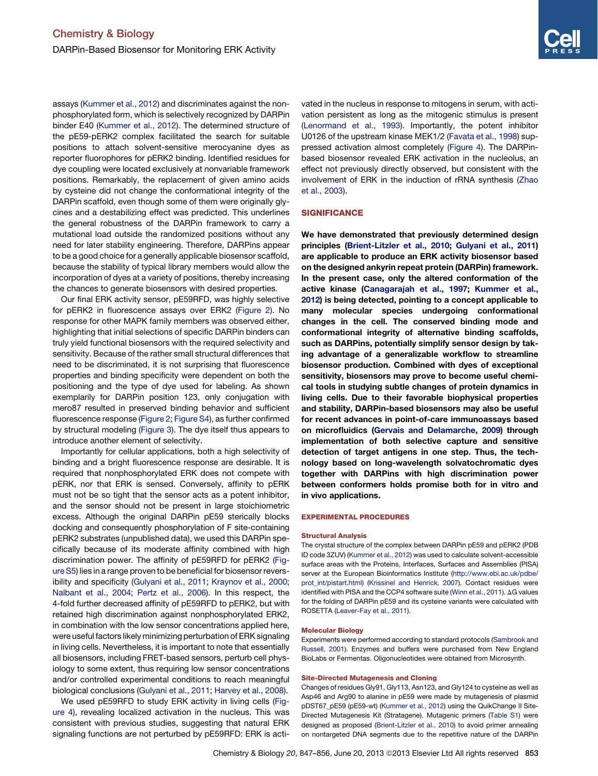assays [\(Kummer et al., 2012\)](#page-9-0) and discriminates against the nonphosphorylated form, which is selectively recognized by DARPin binder E40 ([Kummer et al., 2012\)](#page-9-0). The determined structure of the pE59-pERK2 complex facilitated the search for suitable positions to attach solvent-sensitive merocyanine dyes as reporter fluorophores for pERK2 binding. Identified residues for dye coupling were located exclusively at nonvariable framework positions. Remarkably, the replacement of given amino acids by cysteine did not change the conformational integrity of the DARPin scaffold, even though some of them were originally glycines and a destabilizing effect was predicted. This underlines the general robustness of the DARPin framework to carry a mutational load outside the randomized positions without any need for later stability engineering. Therefore, DARPins appear to be a good choice for a generally applicable biosensor scaffold, because the stability of typical library members would allow the incorporation of dyes at a variety of positions, thereby increasing the chances to generate biosensors with desired properties.

Our final ERK activity sensor, pE59RFD, was highly selective for pERK2 in fluorescence assays over ERK2 [\(Figure 2\)](#page-3-0). No response for other MAPK family members was observed either, highlighting that initial selections of specific DARPin binders can truly yield functional biosensors with the required selectivity and sensitivity. Because of the rather small structural differences that need to be discriminated, it is not surprising that fluorescence properties and binding specificity were dependent on both the positioning and the type of dye used for labeling. As shown exemplarily for DARPin position 123, only conjugation with mero87 resulted in preserved binding behavior and sufficient fluorescence response [\(Figure 2;](#page-3-0) [Figure S4](#page-8-0)), as further confirmed by structural modeling [\(Figure 3\)](#page-4-0). The dye itself thus appears to introduce another element of selectivity.

Importantly for cellular applications, both a high selectivity of binding and a bright fluorescence response are desirable. It is required that nonphosphorylated ERK does not compete with pERK, nor that ERK is sensed. Conversely, affinity to pERK must not be so tight that the sensor acts as a potent inhibitor, and the sensor should not be present in large stoichiometric excess. Although the original DARPin pE59 sterically blocks docking and consequently phosphorylation of F site-containing pERK2 substrates (unpublished data), we used this DARPin specifically because of its moderate affinity combined with high discrimination power. The affinity of pE59RFD for pERK2 [\(Fig](#page-8-0)[ure S5\)](#page-8-0) lies in a range proven to be beneficial for biosensor reversibility and specificity ([Gulyani et al., 2011](#page-8-0); [Kraynov et al., 2000;](#page-9-0) [Nalbant et al., 2004](#page-9-0); [Pertz et al., 2006\)](#page-9-0). In this respect, the 4-fold further decreased affinity of pE59RFD to pERK2, but with retained high discrimination against nonphosphorylated ERK2, in combination with the low sensor concentrations applied here, were useful factors likely minimizing perturbation of ERK signaling in living cells. Nevertheless, it is important to note that essentially all biosensors, including FRET-based sensors, perturb cell physiology to some extent, thus requiring low sensor concentrations and/or controlled experimental conditions to reach meaningful biological conclusions [\(Gulyani et al., 2011;](#page-8-0) [Harvey et al., 2008](#page-8-0)).

We used pE59RFD to study ERK activity in living cells [\(Fig](#page-5-0)[ure 4\)](#page-5-0), revealing localized activation in the nucleus. This was consistent with previous studies, suggesting that natural ERK signaling functions are not perturbed by pE59RFD: ERK is activated in the nucleus in response to mitogens in serum, with activation persistent as long as the mitogenic stimulus is present [\(Lenormand et al., 1993\)](#page-9-0). Importantly, the potent inhibitor U0126 of the upstream kinase MEK1/2 [\(Favata et al., 1998\)](#page-8-0) suppressed activation almost completely ([Figure 4](#page-5-0)). The DARPinbased biosensor revealed ERK activation in the nucleolus, an effect not previously directly observed, but consistent with the involvement of ERK in the induction of rRNA synthesis ([Zhao](#page-9-0) [et al., 2003](#page-9-0)).

#### **SIGNIFICANCE**

We have demonstrated that previously determined design principles [\(Brient-Litzler et al., 2010;](#page-8-0) [Gulyani et al., 2011\)](#page-8-0) are applicable to produce an ERK activity biosensor based on the designed ankyrin repeat protein (DARPin) framework. In the present case, only the altered conformation of the active kinase [\(Canagarajah et al., 1997;](#page-8-0) [Kummer et al.,](#page-9-0) [2012\)](#page-9-0) is being detected, pointing to a concept applicable to many molecular species undergoing conformational changes in the cell. The conserved binding mode and conformational integrity of alternative binding scaffolds, such as DARPins, potentially simplify sensor design by taking advantage of a generalizable workflow to streamline biosensor production. Combined with dyes of exceptional sensitivity, biosensors may prove to become useful chemical tools in studying subtle changes of protein dynamics in living cells. Due to their favorable biophysical properties and stability, DARPin-based biosensors may also be useful for recent advances in point-of-care immunoassays based on microfluidics [\(Gervais and Delamarche, 2009](#page-8-0)) through implementation of both selective capture and sensitive detection of target antigens in one step. Thus, the technology based on long-wavelength solvatochromatic dyes together with DARPins with high discrimination power between conformers holds promise both for in vitro and in vivo applications.

#### EXPERIMENTAL PROCEDURES

#### Structural Analysis

The crystal structure of the complex between DARPin pE59 and pERK2 (PDB ID code 3ZUV) [\(Kummer et al., 2012\)](#page-9-0) was used to calculate solvent-accessible surface areas with the Proteins, Interfaces, Surfaces and Assemblies (PISA) server at the European Bioinformatics Institute [\(http://www.ebi.ac.uk/pdbe/](http://www.ebi.ac.uk/pdbe/prot_int/pistart.html) [prot\\_int/pistart.html](http://www.ebi.ac.uk/pdbe/prot_int/pistart.html)) ([Krissinel and Henrick, 2007](#page-9-0)). Contact residues were identified with PISA and the CCP4 software suite ([Winn et al., 2011\)](#page-9-0). ΔG values for the folding of DARPin pE59 and its cysteine variants were calculated with ROSETTA [\(Leaver-Fay et al., 2011\)](#page-9-0).

#### Molecular Biology

Experiments were performed according to standard protocols ([Sambrook and](#page-9-0) [Russell, 2001\)](#page-9-0). Enzymes and buffers were purchased from New England BioLabs or Fermentas. Oligonucleotides were obtained from Microsynth.

#### Site-Directed Mutagenesis and Cloning

Changes of residues Gly91, Gly113, Asn123, and Gly124 to cysteine as well as Asp46 and Arg90 to alanine in pE59 were made by mutagenesis of plasmid pDST67\_pE59 (pE59-wt) ([Kummer et al., 2012\)](#page-9-0) using the QuikChange II Site-Directed Mutagenesis Kit (Stratagene). Mutagenic primers ([Table S1](#page-8-0)) were designed as proposed ([Brient-Litzler et al., 2010\)](#page-8-0) to avoid primer annealing on nontargeted DNA segments due to the repetitive nature of the DARPin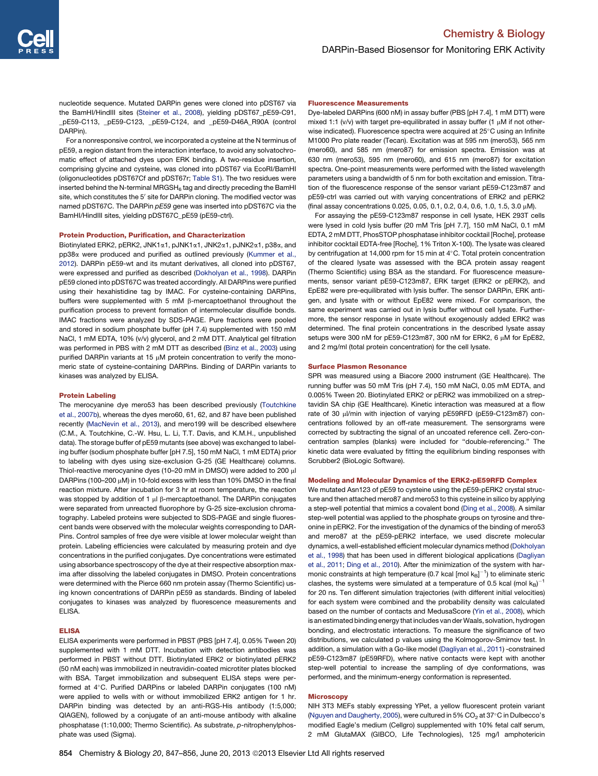nucleotide sequence. Mutated DARPin genes were cloned into pDST67 via the BamHI/HindIII sites ([Steiner et al., 2008](#page-9-0)), yielding pDST67\_pE59-C91, \_pE59-C113, \_pE59-C123, \_pE59-C124, and \_pE59-D46A\_R90A (control DARPin).

For a nonresponsive control, we incorporated a cysteine at the N terminus of pE59, a region distant from the interaction interface, to avoid any solvatochromatic effect of attached dyes upon ERK binding. A two-residue insertion, comprising glycine and cysteine, was cloned into pDST67 via EcoRI/BamHI (oligonucleotides pDST67Cf and pDST67r; [Table S1](#page-8-0)). The two residues were inserted behind the N-terminal MRGSH $_6$  tag and directly preceding the BamHI site, which constitutes the 5' site for DARPin cloning. The modified vector was named pDST67C. The DARPin *pE59* gene was inserted into pDST67C via the BamHI/HindIII sites, yielding pDST67C\_pE59 (pE59-ctrl).

#### Protein Production, Purification, and Characterization

Biotinylated ERK2, pERK2, JNK1a1, pJNK1a1, JNK2a1, pJNK2a1, p38a, and pp38a were produced and purified as outlined previously ([Kummer et al.,](#page-9-0) [2012](#page-9-0)). DARPin pE59-wt and its mutant derivatives, all cloned into pDST67, were expressed and purified as described ([Dokholyan et al., 1998](#page-8-0)). DARPin pE59 cloned into pDST67C was treated accordingly. All DARPins were purified using their hexahistidine tag by IMAC. For cysteine-containing DARPins, buffers were supplemented with 5 mM b-mercaptoethanol throughout the purification process to prevent formation of intermolecular disulfide bonds. IMAC fractions were analyzed by SDS-PAGE. Pure fractions were pooled and stored in sodium phosphate buffer (pH 7.4) supplemented with 150 mM NaCl, 1 mM EDTA, 10% (v/v) glycerol, and 2 mM DTT. Analytical gel filtration was performed in PBS with 2 mM DTT as described ([Binz et al., 2003](#page-8-0)) using purified DARPin variants at 15 uM protein concentration to verify the monomeric state of cysteine-containing DARPins. Binding of DARPin variants to kinases was analyzed by ELISA.

#### Protein Labeling

The merocyanine dye mero53 has been described previously [\(Toutchkine](#page-9-0) [et al., 2007b](#page-9-0)), whereas the dyes mero60, 61, 62, and 87 have been published recently ([MacNevin et al., 2013](#page-9-0)), and mero199 will be described elsewhere (C.M., A. Toutchkine, C.-W. Hsu, L. Li, T.T. Davis, and K.M.H., unpublished data). The storage buffer of pE59 mutants (see above) was exchanged to labeling buffer (sodium phosphate buffer [pH 7.5], 150 mM NaCl, 1 mM EDTA) prior to labeling with dyes using size-exclusion G-25 (GE Healthcare) columns. Thiol-reactive merocyanine dyes (10-20 mM in DMSO) were added to 200 µl DARPins (100-200  $\mu$ M) in 10-fold excess with less than 10% DMSO in the final reaction mixture. After incubation for 3 hr at room temperature, the reaction was stopped by addition of 1  $\mu$ l  $\beta$ -mercaptoethanol. The DARPin conjugates were separated from unreacted fluorophore by G-25 size-exclusion chromatography. Labeled proteins were subjected to SDS-PAGE and single fluorescent bands were observed with the molecular weights corresponding to DAR-Pins. Control samples of free dye were visible at lower molecular weight than protein. Labeling efficiencies were calculated by measuring protein and dye concentrations in the purified conjugates. Dye concentrations were estimated using absorbance spectroscopy of the dye at their respective absorption maxima after dissolving the labeled conjugates in DMSO. Protein concentrations were determined with the Pierce 660 nm protein assay (Thermo Scientific) using known concentrations of DARPin pE59 as standards. Binding of labeled conjugates to kinases was analyzed by fluorescence measurements and ELISA.

#### ELISA

ELISA experiments were performed in PBST (PBS [pH 7.4], 0.05% Tween 20) supplemented with 1 mM DTT. Incubation with detection antibodies was performed in PBST without DTT. Biotinylated ERK2 or biotinylated pERK2 (50 nM each) was immobilized in neutravidin-coated microtiter plates blocked with BSA. Target immobilization and subsequent ELISA steps were performed at 4°C. Purified DARPins or labeled DARPin conjugates (100 nM) were applied to wells with or without immobilized ERK2 antigen for 1 hr. DARPin binding was detected by an anti-RGS-His antibody (1:5,000; QIAGEN), followed by a conjugate of an anti-mouse antibody with alkaline phosphatase (1:10,000; Thermo Scientific). As substrate, *p*-nitrophenylphosphate was used (Sigma).

#### Fluorescence Measurements

Dye-labeled DARPins (600 nM) in assay buffer (PBS [pH 7.4], 1 mM DTT) were mixed 1:1 ( $v/v$ ) with target pre-equilibrated in assay buffer (1  $\mu$ M if not otherwise indicated). Fluorescence spectra were acquired at 25°C using an Infinite M1000 Pro plate reader (Tecan). Excitation was at 595 nm (mero53), 565 nm (mero60), and 585 nm (mero87) for emission spectra. Emission was at 630 nm (mero53), 595 nm (mero60), and 615 nm (mero87) for excitation spectra. One-point measurements were performed with the listed wavelength parameters using a bandwidth of 5 nm for both excitation and emission. Titration of the fluorescence response of the sensor variant pE59-C123m87 and pE59-ctrl was carried out with varying concentrations of ERK2 and pERK2 (final assay concentrations 0.025, 0.05, 0.1, 0.2, 0.4, 0.6, 1.0, 1.5, 3.0 mM).

For assaying the pE59-C123m87 response in cell lysate, HEK 293T cells were lysed in cold lysis buffer (20 mM Tris [pH 7.7], 150 mM NaCl, 0.1 mM EDTA, 2 mM DTT, PhosSTOP phosphatase inhibitor cocktail [Roche], protease inhibitor cocktail EDTA-free [Roche], 1% Triton X-100). The lysate was cleared by centrifugation at 14,000 rpm for 15 min at  $4^{\circ}$ C. Total protein concentration of the cleared lysate was assessed with the BCA protein assay reagent (Thermo Scientific) using BSA as the standard. For fluorescence measurements, sensor variant pE59-C123m87, ERK target (ERK2 or pERK2), and EpE82 were pre-equilibrated with lysis buffer. The sensor DARPin, ERK antigen, and lysate with or without EpE82 were mixed. For comparison, the same experiment was carried out in lysis buffer without cell lysate. Furthermore, the sensor response in lysate without exogenously added ERK2 was determined. The final protein concentrations in the described lysate assay setups were 300 nM for pE59-C123m87, 300 nM for ERK2, 6 µM for EpE82, and 2 mg/ml (total protein concentration) for the cell lysate.

#### Surface Plasmon Resonance

SPR was measured using a Biacore 2000 instrument (GE Healthcare). The running buffer was 50 mM Tris (pH 7.4), 150 mM NaCl, 0.05 mM EDTA, and 0.005% Tween 20. Biotinylated ERK2 or pERK2 was immobilized on a streptavidin SA chip (GE Healthcare). Kinetic interaction was measured at a flow rate of 30 µl/min with injection of varying pE59RFD (pE59-C123m87) concentrations followed by an off-rate measurement. The sensorgrams were corrected by subtracting the signal of an uncoated reference cell. Zero-concentration samples (blanks) were included for ''double-referencing.'' The kinetic data were evaluated by fitting the equilibrium binding responses with Scrubber2 (BioLogic Software).

#### Modeling and Molecular Dynamics of the ERK2-pE59RFD Complex

We mutated Asn123 of pE59 to cysteine using the pE59-pERK2 crystal structure and then attached mero87 and mero53 to this cysteine in silico by applying a step-well potential that mimics a covalent bond [\(Ding et al., 2008\)](#page-8-0). A similar step-well potential was applied to the phosphate groups on tyrosine and threonine in pERK2. For the investigation of the dynamics of the binding of mero53 and mero87 at the pE59-pERK2 interface, we used discrete molecular dynamics, a well-established efficient molecular dynamics method ([Dokholyan](#page-8-0) [et al., 1998](#page-8-0)) that has been used in different biological applications ([Dagliyan](#page-8-0) [et al., 2011;](#page-8-0) [Ding et al., 2010](#page-8-0)). After the minimization of the system with harmonic constraints at high temperature (0.7 kcal [mol  $k_{\mathsf{B}}]^{-1}$ ) to eliminate steric clashes, the systems were simulated at a temperature of 0.5 kcal (mol  $k_B$ )<sup>-1</sup> for 20 ns. Ten different simulation trajectories (with different initial velocities) for each system were combined and the probability density was calculated based on the number of contacts and MedusaScore ([Yin et al., 2008\)](#page-9-0), which is an estimated binding energy that includes van derWaals, solvation, hydrogen bonding, and electrostatic interactions. To measure the significance of two distributions, we calculated p values using the Kolmogorov-Smirnov test. In addition, a simulation with a Go-like model ([Dagliyan et al., 2011](#page-8-0)) -constrained pE59-C123m87 (pE59RFD), where native contacts were kept with another step-well potential to increase the sampling of dye conformations, was performed, and the minimum-energy conformation is represented.

#### **Microscopy**

NIH 3T3 MEFs stably expressing YPet, a yellow fluorescent protein variant ([Nguyen and Daugherty, 2005](#page-9-0)), were cultured in 5%  $CO<sub>2</sub>$  at 37°C in Dulbecco's modified Eagle's medium (Cellgro) supplemented with 10% fetal calf serum, 2 mM GlutaMAX (GIBCO, Life Technologies), 125 mg/l amphotericin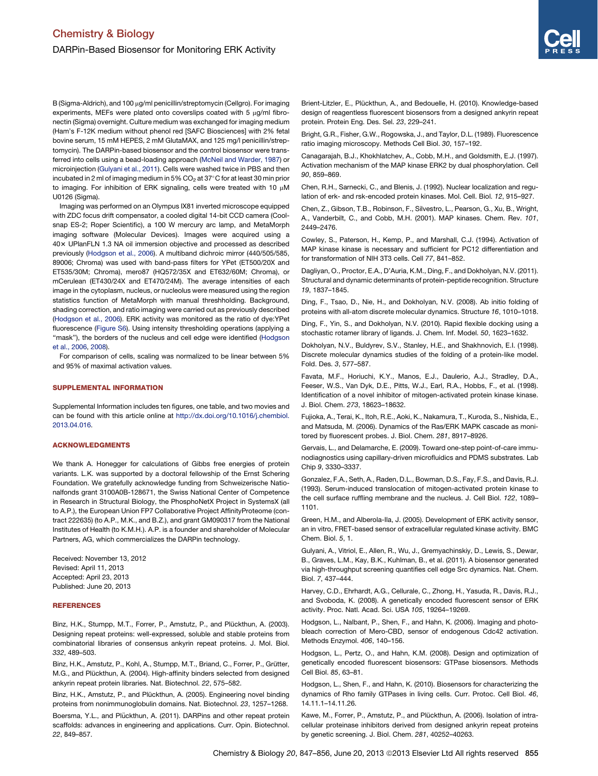<span id="page-8-0"></span>B (Sigma-Aldrich), and 100 µg/ml penicillin/streptomycin (Cellgro). For imaging experiments, MEFs were plated onto coverslips coated with 5  $\mu$ g/ml fibronectin (Sigma) overnight. Culture medium was exchanged for imaging medium (Ham's F-12K medium without phenol red [SAFC Biosciences] with 2% fetal bovine serum, 15 mM HEPES, 2 mM GlutaMAX, and 125 mg/l penicillin/streptomycin). The DARPin-based biosensor and the control biosensor were transferred into cells using a bead-loading approach [\(McNeil and Warder, 1987](#page-9-0)) or microinjection (Gulyani et al., 2011). Cells were washed twice in PBS and then incubated in 2 ml of imaging medium in 5%  $CO<sub>2</sub>$  at 37°C for at least 30 min prior to imaging. For inhibition of ERK signaling, cells were treated with 10  $\mu$ M U0126 (Sigma).

Imaging was performed on an Olympus IX81 inverted microscope equipped with ZDC focus drift compensator, a cooled digital 14-bit CCD camera (Coolsnap ES-2; Roper Scientific), a 100 W mercury arc lamp, and MetaMorph imaging software (Molecular Devices). Images were acquired using a 403 UPlanFLN 1.3 NA oil immersion objective and processed as described previously (Hodgson et al., 2006). A multiband dichroic mirror (440/505/585, 89006; Chroma) was used with band-pass filters for YPet (ET500/20X and ET535/30M; Chroma), mero87 (HQ572/35X and ET632/60M; Chroma), or mCerulean (ET430/24X and ET470/24M). The average intensities of each image in the cytoplasm, nucleus, or nucleolus were measured using the region statistics function of MetaMorph with manual threshholding. Background, shading correction, and ratio imaging were carried out as previously described (Hodgson et al., 2006). ERK activity was monitored as the ratio of dye:YPet fluorescence (Figure S6). Using intensity thresholding operations (applying a "mask"), the borders of the nucleus and cell edge were identified (Hodgson et al., 2006, 2008).

For comparison of cells, scaling was normalized to be linear between 5% and 95% of maximal activation values.

#### SUPPLEMENTAL INFORMATION

Supplemental Information includes ten figures, one table, and two movies and can be found with this article online at [http://dx.doi.org/10.1016/j.chembiol.](http://dx.doi.org/10.1016/j.chembiol.2013.04.016) [2013.04.016.](http://dx.doi.org/10.1016/j.chembiol.2013.04.016)

#### ACKNOWLEDGMENTS

We thank A. Honegger for calculations of Gibbs free energies of protein variants. L.K. was supported by a doctoral fellowship of the Ernst Schering Foundation. We gratefully acknowledge funding from Schweizerische Nationalfonds grant 3100A0B-128671, the Swiss National Center of Competence in Research in Structural Biology, the PhosphoNetX Project in SystemsX (all to A.P.), the European Union FP7 Collaborative Project AffinityProteome (contract 222635) (to A.P., M.K., and B.Z.), and grant GM090317 from the National Institutes of Health (to K.M.H.). A.P. is a founder and shareholder of Molecular Partners, AG, which commercializes the DARPin technology.

Received: November 13, 2012 Revised: April 11, 2013 Accepted: April 23, 2013 Published: June 20, 2013

#### **REFERENCES**

Binz, H.K., Stumpp, M.T., Forrer, P., Amstutz, P., and Plückthun, A. (2003). Designing repeat proteins: well-expressed, soluble and stable proteins from combinatorial libraries of consensus ankyrin repeat proteins. J. Mol. Biol. *332*, 489–503.

Binz, H.K., Amstutz, P., Kohl, A., Stumpp, M.T., Briand, C., Forrer, P., Grütter, M.G., and Plückthun, A. (2004). High-affinity binders selected from designed ankyrin repeat protein libraries. Nat. Biotechnol. *22*, 575–582.

Binz, H.K., Amstutz, P., and Plückthun, A. (2005). Engineering novel binding proteins from nonimmunoglobulin domains. Nat. Biotechnol. *23*, 1257–1268. Boersma, Y.L., and Plückthun, A. (2011). DARPins and other repeat protein scaffolds: advances in engineering and applications. Curr. Opin. Biotechnol. *22*, 849–857.

Brient-Litzler, E., Plückthun, A., and Bedouelle, H. (2010). Knowledge-based design of reagentless fluorescent biosensors from a designed ankyrin repeat protein. Protein Eng. Des. Sel. *23*, 229–241.

Bright, G.R., Fisher, G.W., Rogowska, J., and Taylor, D.L. (1989). Fluorescence ratio imaging microscopy. Methods Cell Biol. *30*, 157–192.

Canagarajah, B.J., Khokhlatchev, A., Cobb, M.H., and Goldsmith, E.J. (1997). Activation mechanism of the MAP kinase ERK2 by dual phosphorylation. Cell *90*, 859–869.

Chen, R.H., Sarnecki, C., and Blenis, J. (1992). Nuclear localization and regulation of erk- and rsk-encoded protein kinases. Mol. Cell. Biol. *12*, 915–927.

Chen, Z., Gibson, T.B., Robinson, F., Silvestro, L., Pearson, G., Xu, B., Wright, A., Vanderbilt, C., and Cobb, M.H. (2001). MAP kinases. Chem. Rev. *101*, 2449–2476.

Cowley, S., Paterson, H., Kemp, P., and Marshall, C.J. (1994). Activation of MAP kinase kinase is necessary and sufficient for PC12 differentiation and for transformation of NIH 3T3 cells. Cell *77*, 841–852.

Dagliyan, O., Proctor, E.A., D'Auria, K.M., Ding, F., and Dokholyan, N.V. (2011). Structural and dynamic determinants of protein-peptide recognition. Structure *19*, 1837–1845.

Ding, F., Tsao, D., Nie, H., and Dokholyan, N.V. (2008). Ab initio folding of proteins with all-atom discrete molecular dynamics. Structure *16*, 1010–1018.

Ding, F., Yin, S., and Dokholyan, N.V. (2010). Rapid flexible docking using a stochastic rotamer library of ligands. J. Chem. Inf. Model. *50*, 1623–1632.

Dokholyan, N.V., Buldyrev, S.V., Stanley, H.E., and Shakhnovich, E.I. (1998). Discrete molecular dynamics studies of the folding of a protein-like model. Fold. Des. *3*, 577–587.

Favata, M.F., Horiuchi, K.Y., Manos, E.J., Daulerio, A.J., Stradley, D.A., Feeser, W.S., Van Dyk, D.E., Pitts, W.J., Earl, R.A., Hobbs, F., et al. (1998). Identification of a novel inhibitor of mitogen-activated protein kinase kinase. J. Biol. Chem. *273*, 18623–18632.

Fujioka, A., Terai, K., Itoh, R.E., Aoki, K., Nakamura, T., Kuroda, S., Nishida, E., and Matsuda, M. (2006). Dynamics of the Ras/ERK MAPK cascade as monitored by fluorescent probes. J. Biol. Chem. *281*, 8917–8926.

Gervais, L., and Delamarche, E. (2009). Toward one-step point-of-care immunodiagnostics using capillary-driven microfluidics and PDMS substrates. Lab Chip *9*, 3330–3337.

Gonzalez, F.A., Seth, A., Raden, D.L., Bowman, D.S., Fay, F.S., and Davis, R.J. (1993). Serum-induced translocation of mitogen-activated protein kinase to the cell surface ruffling membrane and the nucleus. J. Cell Biol. *122*, 1089– 1101.

Green, H.M., and Alberola-Ila, J. (2005). Development of ERK activity sensor, an in vitro, FRET-based sensor of extracellular regulated kinase activity. BMC Chem. Biol. *5*, 1.

Gulyani, A., Vitriol, E., Allen, R., Wu, J., Gremyachinskiy, D., Lewis, S., Dewar, B., Graves, L.M., Kay, B.K., Kuhlman, B., et al. (2011). A biosensor generated via high-throughput screening quantifies cell edge Src dynamics. Nat. Chem. Biol. *7*, 437–444.

Harvey, C.D., Ehrhardt, A.G., Cellurale, C., Zhong, H., Yasuda, R., Davis, R.J., and Svoboda, K. (2008). A genetically encoded fluorescent sensor of ERK activity. Proc. Natl. Acad. Sci. USA *105*, 19264–19269.

Hodgson, L., Nalbant, P., Shen, F., and Hahn, K. (2006). Imaging and photobleach correction of Mero-CBD, sensor of endogenous Cdc42 activation. Methods Enzymol. *406*, 140–156.

Hodgson, L., Pertz, O., and Hahn, K.M. (2008). Design and optimization of genetically encoded fluorescent biosensors: GTPase biosensors. Methods Cell Biol. *85*, 63–81.

Hodgson, L., Shen, F., and Hahn, K. (2010). Biosensors for characterizing the dynamics of Rho family GTPases in living cells. Curr. Protoc. Cell Biol. *46*, 14.11.1–14.11.26.

Kawe, M., Forrer, P., Amstutz, P., and Plückthun, A. (2006). Isolation of intracellular proteinase inhibitors derived from designed ankyrin repeat proteins by genetic screening. J. Biol. Chem. *281*, 40252–40263.